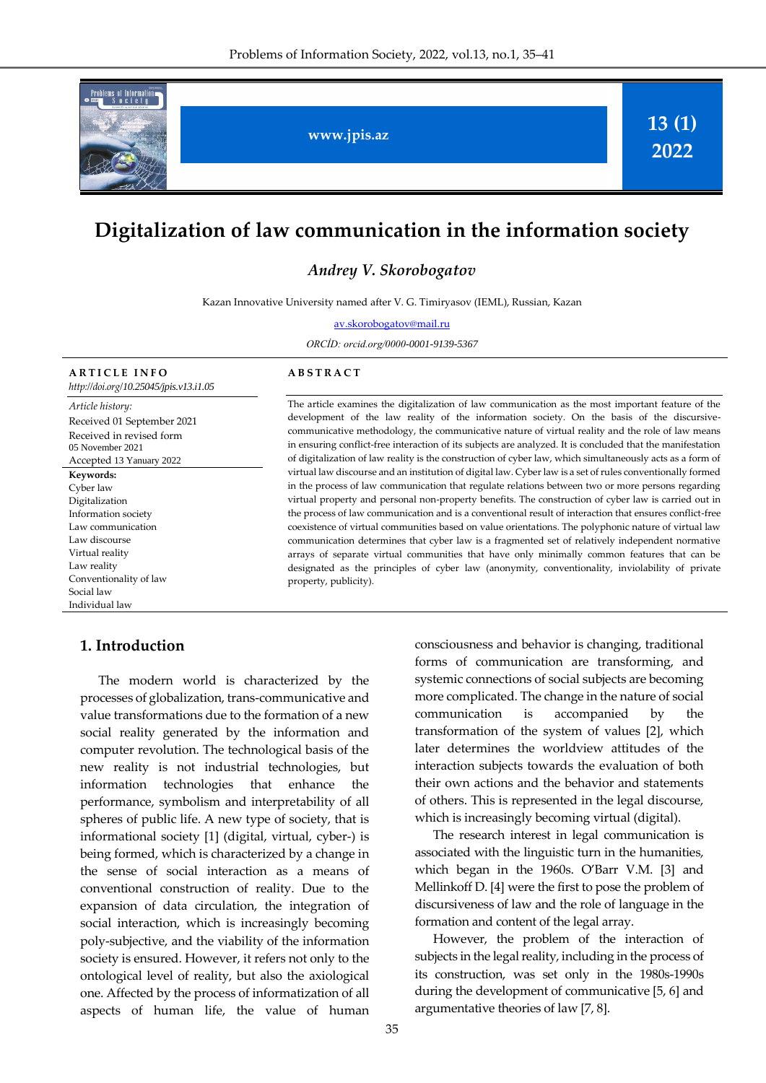

# **Digitalization of law communication in the information society**

### *Andrey V. Skorobogatov*

Kazan Innovative University named after V. G. Timiryasov (IEML), Russian, Kazan

[av.skorobogatov@mail.ru](mailto:av.skorobogatov@mail.ru)

*ORCİD: orcid.org/0000-0001-9139-5367*

#### **A R T I C L E I N F O**

*[http://doi.org/](http://doi.org/10.25045/jpis.v13.i1.04)10.25045/jpis.v13.i1.05*

*Article history:* Received 01 September 2021 Received in revised form 05 November 2021 Accepted 13 Yanuary 2022 **Keywords:**  Cyber law Digitalization Information society Law communication Law discourse Virtual reality Law reality Conventionality of law Social law Individual law

## **1. Introduction**

The modern world is characterized by the processes of globalization, trans-communicative and value transformations due to the formation of a new social reality generated by the information and computer revolution. The technological basis of the new reality is not industrial technologies, but information technologies that enhance the performance, symbolism and interpretability of all spheres of public life. A new type of society, that is informational society [1] (digital, virtual, cyber-) is being formed, which is characterized by a change in the sense of social interaction as a means of conventional construction of reality. Due to the expansion of data circulation, the integration of social interaction, which is increasingly becoming poly-subjective, and the viability of the information society is ensured. However, it refers not only to the ontological level of reality, but also the axiological one. Affected by the process of informatization of all aspects of human life, the value of human

# **A B S T R A C T**

The article examines the digitalization of law communication as the most important feature of the development of the law reality of the information society. On the basis of the discursivecommunicative methodology, the communicative nature of virtual reality and the role of law means in ensuring conflict-free interaction of its subjects are analyzed. It is concluded that the manifestation of digitalization of law reality is the construction of cyber law, which simultaneously acts as a form of virtual law discourse and an institution of digital law. Cyber law is a set of rules conventionally formed in the process of law communication that regulate relations between two or more persons regarding virtual property and personal non-property benefits. The construction of cyber law is carried out in the process of law communication and is a conventional result of interaction that ensures conflict-free coexistence of virtual communities based on value orientations. The polyphonic nature of virtual law communication determines that cyber law is a fragmented set of relatively independent normative arrays of separate virtual communities that have only minimally common features that can be designated as the principles of cyber law (anonymity, conventionality, inviolability of private property, publicity).

> consciousness and behavior is changing, traditional forms of communication are transforming, and systemic connections of social subjects are becoming more complicated. The change in the nature of social communication is accompanied by the transformation of the system of values [2], which later determines the worldview attitudes of the interaction subjects towards the evaluation of both their own actions and the behavior and statements of others. This is represented in the legal discourse, which is increasingly becoming virtual (digital).

> The research interest in legal communication is associated with the linguistic turn in the humanities, which began in the 1960s. O'Barr V.M. [3] and Mellinkoff D. [4] were the first to pose the problem of discursiveness of law and the role of language in the formation and content of the legal array.

> However, the problem of the interaction of subjects in the legal reality, including in the process of its construction, was set only in the 1980s-1990s during the development of communicative [5, 6] and argumentative theories of law [7, 8].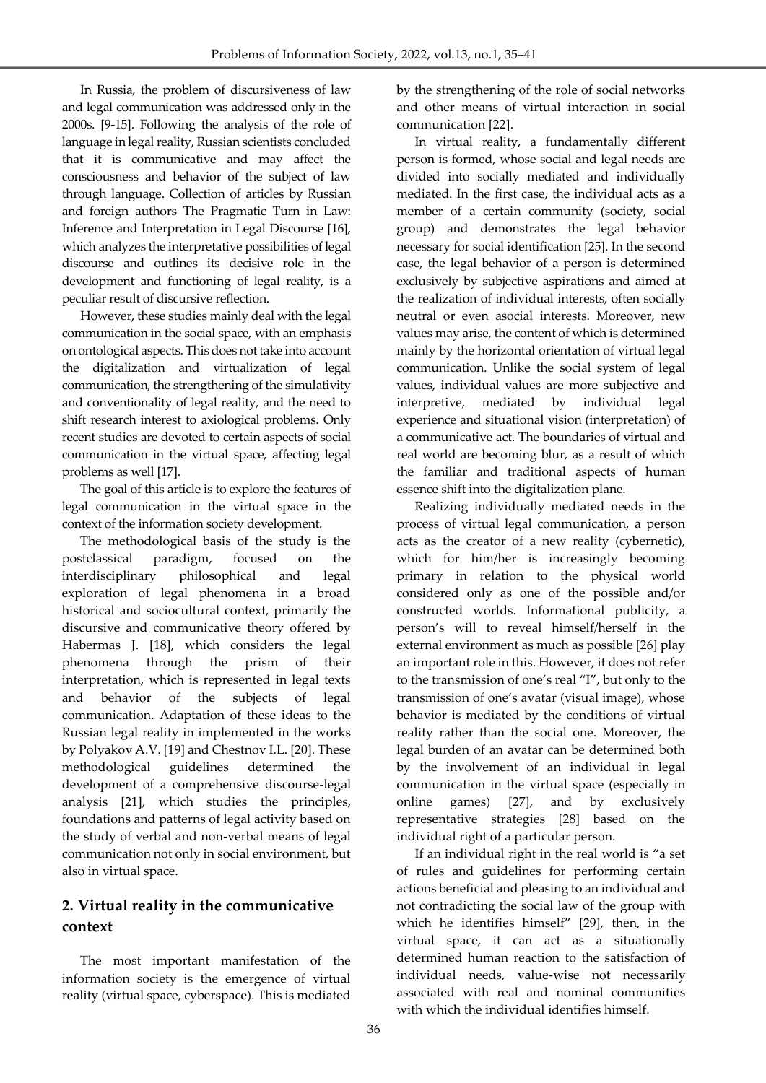In Russia, the problem of discursiveness of law and legal communication was addressed only in the 2000s. [9-15]. Following the analysis of the role of language in legal reality, Russian scientists concluded that it is communicative and may affect the consciousness and behavior of the subject of law through language. Collection of articles by Russian and foreign authors The Pragmatic Turn in Law: Inference and Interpretation in Legal Discourse [16], which analyzes the interpretative possibilities of legal discourse and outlines its decisive role in the development and functioning of legal reality, is a peculiar result of discursive reflection.

However, these studies mainly deal with the legal communication in the social space, with an emphasis on ontological aspects. This does not take into account the digitalization and virtualization of legal communication, the strengthening of the simulativity and conventionality of legal reality, and the need to shift research interest to axiological problems. Only recent studies are devoted to certain aspects of social communication in the virtual space, affecting legal problems as well [17].

The goal of this article is to explore the features of legal communication in the virtual space in the context of the information society development.

The methodological basis of the study is the postclassical paradigm, focused on the interdisciplinary philosophical and legal exploration of legal phenomena in a broad historical and sociocultural context, primarily the discursive and communicative theory offered by Habermas J. [18], which considers the legal phenomena through the prism of their interpretation, which is represented in legal texts and behavior of the subjects of legal communication. Adaptation of these ideas to the Russian legal reality in implemented in the works by Polyakov A.V. [19] and Chestnov I.L. [20]. These methodological guidelines determined the development of a comprehensive discourse-legal analysis [21], which studies the principles, foundations and patterns of legal activity based on the study of verbal and non-verbal means of legal communication not only in social environment, but also in virtual space.

# **2. Virtual reality in the communicative context**

The most important manifestation of the information society is the emergence of virtual reality (virtual space, cyberspace). This is mediated by the strengthening of the role of social networks and other means of virtual interaction in social communication [22].

In virtual reality, a fundamentally different person is formed, whose social and legal needs are divided into socially mediated and individually mediated. In the first case, the individual acts as a member of a certain community (society, social group) and demonstrates the legal behavior necessary for social identification [25]. In the second case, the legal behavior of a person is determined exclusively by subjective aspirations and aimed at the realization of individual interests, often socially neutral or even asocial interests. Moreover, new values may arise, the content of which is determined mainly by the horizontal orientation of virtual legal communication. Unlike the social system of legal values, individual values are more subjective and interpretive, mediated by individual legal experience and situational vision (interpretation) of a communicative act. The boundaries of virtual and real world are becoming blur, as a result of which the familiar and traditional aspects of human essence shift into the digitalization plane.

Realizing individually mediated needs in the process of virtual legal communication, a person acts as the creator of a new reality (cybernetic), which for him/her is increasingly becoming primary in relation to the physical world considered only as one of the possible and/or constructed worlds. Informational publicity, a person's will to reveal himself/herself in the external environment as much as possible [26] play an important role in this. However, it does not refer to the transmission of one's real "I", but only to the transmission of one's avatar (visual image), whose behavior is mediated by the conditions of virtual reality rather than the social one. Moreover, the legal burden of an avatar can be determined both by the involvement of an individual in legal communication in the virtual space (especially in online games) [27], and by exclusively representative strategies [28] based on the individual right of a particular person.

If an individual right in the real world is "a set of rules and guidelines for performing certain actions beneficial and pleasing to an individual and not contradicting the social law of the group with which he identifies himself" [29], then, in the virtual space, it can act as a situationally determined human reaction to the satisfaction of individual needs, value-wise not necessarily associated with real and nominal communities with which the individual identifies himself.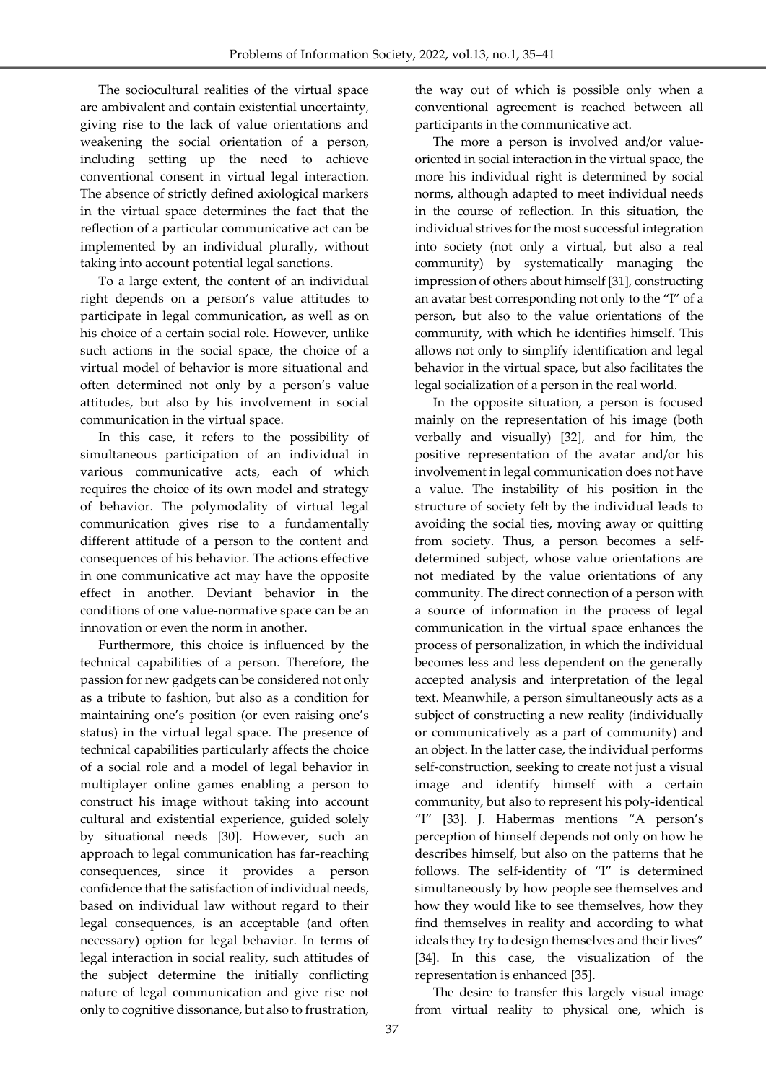The sociocultural realities of the virtual space are ambivalent and contain existential uncertainty, giving rise to the lack of value orientations and weakening the social orientation of a person, including setting up the need to achieve conventional consent in virtual legal interaction. The absence of strictly defined axiological markers in the virtual space determines the fact that the reflection of a particular communicative act can be implemented by an individual plurally, without taking into account potential legal sanctions.

To a large extent, the content of an individual right depends on a person's value attitudes to participate in legal communication, as well as on his choice of a certain social role. However, unlike such actions in the social space, the choice of a virtual model of behavior is more situational and often determined not only by a person's value attitudes, but also by his involvement in social communication in the virtual space.

In this case, it refers to the possibility of simultaneous participation of an individual in various communicative acts, each of which requires the choice of its own model and strategy of behavior. The polymodality of virtual legal communication gives rise to a fundamentally different attitude of a person to the content and consequences of his behavior. The actions effective in one communicative act may have the opposite effect in another. Deviant behavior in the conditions of one value-normative space can be an innovation or even the norm in another.

Furthermore, this choice is influenced by the technical capabilities of a person. Therefore, the passion for new gadgets can be considered not only as a tribute to fashion, but also as a condition for maintaining one's position (or even raising one's status) in the virtual legal space. The presence of technical capabilities particularly affects the choice of a social role and a model of legal behavior in multiplayer online games enabling a person to construct his image without taking into account cultural and existential experience, guided solely by situational needs [30]. However, such an approach to legal communication has far-reaching consequences, since it provides a person confidence that the satisfaction of individual needs, based on individual law without regard to their legal consequences, is an acceptable (and often necessary) option for legal behavior. In terms of legal interaction in social reality, such attitudes of the subject determine the initially conflicting nature of legal communication and give rise not only to cognitive dissonance, but also to frustration,

the way out of which is possible only when a conventional agreement is reached between all participants in the communicative act.

The more a person is involved and/or valueoriented in social interaction in the virtual space, the more his individual right is determined by social norms, although adapted to meet individual needs in the course of reflection. In this situation, the individual strives for the most successful integration into society (not only a virtual, but also a real community) by systematically managing the impression of others about himself [31], constructing an avatar best corresponding not only to the "I" of a person, but also to the value orientations of the community, with which he identifies himself. This allows not only to simplify identification and legal behavior in the virtual space, but also facilitates the legal socialization of a person in the real world.

In the opposite situation, a person is focused mainly on the representation of his image (both verbally and visually) [32], and for him, the positive representation of the avatar and/or his involvement in legal communication does not have a value. The instability of his position in the structure of society felt by the individual leads to avoiding the social ties, moving away or quitting from society. Thus, a person becomes a selfdetermined subject, whose value orientations are not mediated by the value orientations of any community. The direct connection of a person with a source of information in the process of legal communication in the virtual space enhances the process of personalization, in which the individual becomes less and less dependent on the generally accepted analysis and interpretation of the legal text. Meanwhile, a person simultaneously acts as a subject of constructing a new reality (individually or communicatively as a part of community) and an object. In the latter case, the individual performs self-construction, seeking to create not just a visual image and identify himself with a certain community, but also to represent his poly-identical "I" [33]. J. Habermas mentions "A person's perception of himself depends not only on how he describes himself, but also on the patterns that he follows. The self-identity of "I" is determined simultaneously by how people see themselves and how they would like to see themselves, how they find themselves in reality and according to what ideals they try to design themselves and their lives" [34]. In this case, the visualization of the representation is enhanced [35].

The desire to transfer this largely visual image from virtual reality to physical one, which is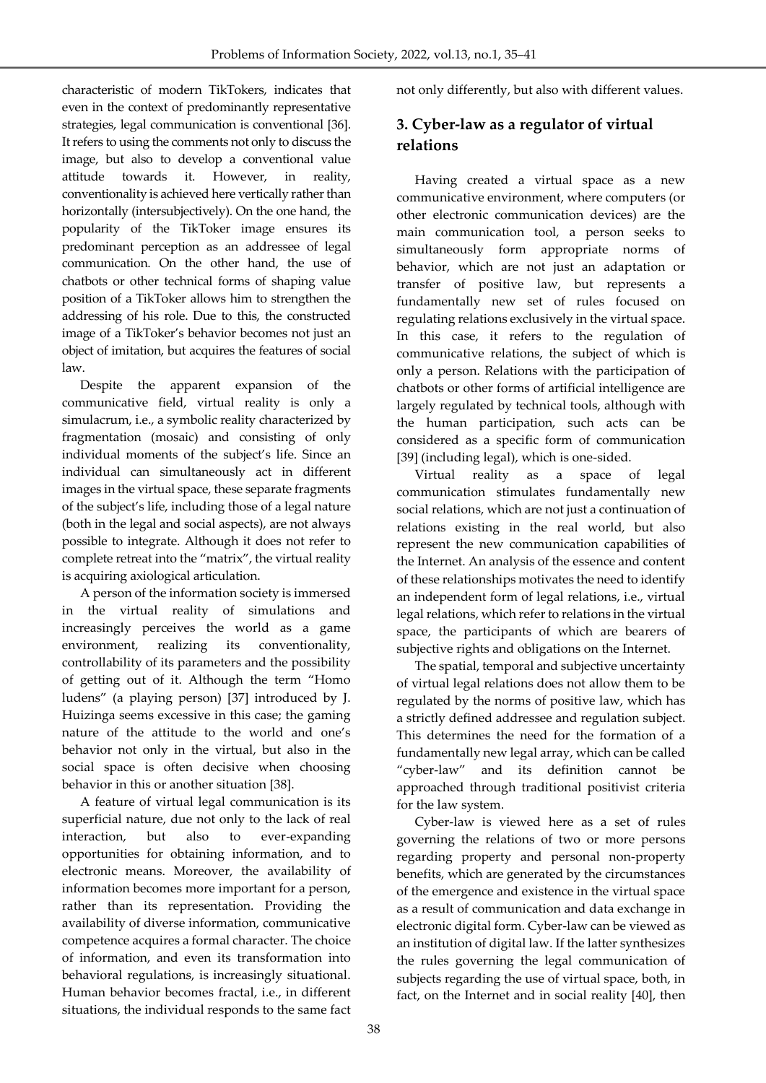characteristic of modern TikTokers, indicates that even in the context of predominantly representative strategies, legal communication is conventional [36]. It refers to using the comments not only to discuss the image, but also to develop a conventional value attitude towards it. However, in reality, conventionality is achieved here vertically rather than horizontally (intersubjectively). On the one hand, the popularity of the TikToker image ensures its predominant perception as an addressee of legal communication. On the other hand, the use of chatbots or other technical forms of shaping value position of a TikToker allows him to strengthen the addressing of his role. Due to this, the constructed image of a TikToker's behavior becomes not just an object of imitation, but acquires the features of social law.

Despite the apparent expansion of the communicative field, virtual reality is only a simulacrum, i.e., a symbolic reality characterized by fragmentation (mosaic) and consisting of only individual moments of the subject's life. Since an individual can simultaneously act in different images in the virtual space, these separate fragments of the subject's life, including those of a legal nature (both in the legal and social aspects), are not always possible to integrate. Although it does not refer to complete retreat into the "matrix", the virtual reality is acquiring axiological articulation.

A person of the information society is immersed in the virtual reality of simulations and increasingly perceives the world as a game environment, realizing its conventionality, controllability of its parameters and the possibility of getting out of it. Although the term "Homo ludens" (a playing person) [37] introduced by J. Huizinga seems excessive in this case; the gaming nature of the attitude to the world and one's behavior not only in the virtual, but also in the social space is often decisive when choosing behavior in this or another situation [38].

A feature of virtual legal communication is its superficial nature, due not only to the lack of real interaction, but also to ever-expanding opportunities for obtaining information, and to electronic means. Moreover, the availability of information becomes more important for a person, rather than its representation. Providing the availability of diverse information, communicative competence acquires a formal character. The choice of information, and even its transformation into behavioral regulations, is increasingly situational. Human behavior becomes fractal, i.e., in different situations, the individual responds to the same fact

not only differently, but also with different values.

# **3. Cyber-law as a regulator of virtual relations**

Having created a virtual space as a new communicative environment, where computers (or other electronic communication devices) are the main communication tool, a person seeks to simultaneously form appropriate norms of behavior, which are not just an adaptation or transfer of positive law, but represents a fundamentally new set of rules focused on regulating relations exclusively in the virtual space. In this case, it refers to the regulation of communicative relations, the subject of which is only a person. Relations with the participation of chatbots or other forms of artificial intelligence are largely regulated by technical tools, although with the human participation, such acts can be considered as a specific form of communication [39] (including legal), which is one-sided.

Virtual reality as a space of legal communication stimulates fundamentally new social relations, which are not just a continuation of relations existing in the real world, but also represent the new communication capabilities of the Internet. An analysis of the essence and content of these relationships motivates the need to identify an independent form of legal relations, i.e., virtual legal relations, which refer to relations in the virtual space, the participants of which are bearers of subjective rights and obligations on the Internet.

The spatial, temporal and subjective uncertainty of virtual legal relations does not allow them to be regulated by the norms of positive law, which has a strictly defined addressee and regulation subject. This determines the need for the formation of a fundamentally new legal array, which can be called "cyber-law" and its definition cannot be approached through traditional positivist criteria for the law system.

Cyber-law is viewed here as a set of rules governing the relations of two or more persons regarding property and personal non-property benefits, which are generated by the circumstances of the emergence and existence in the virtual space as a result of communication and data exchange in electronic digital form. Cyber-law can be viewed as an institution of digital law. If the latter synthesizes the rules governing the legal communication of subjects regarding the use of virtual space, both, in fact, on the Internet and in social reality [40], then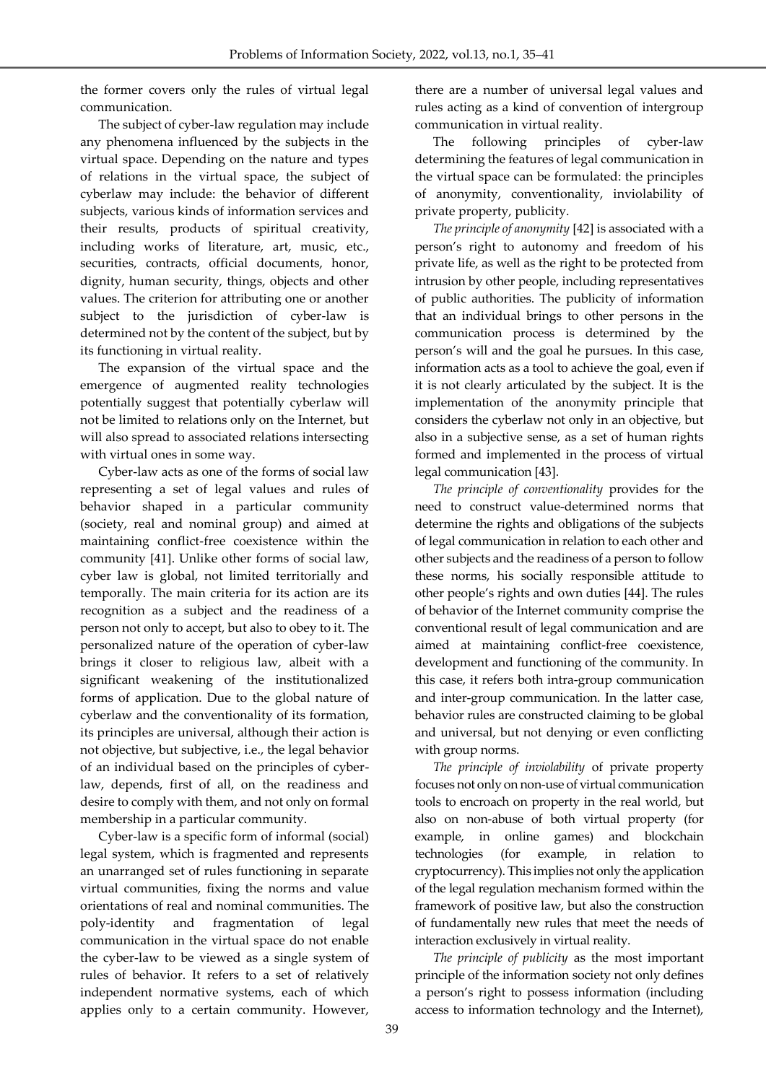the former covers only the rules of virtual legal communication.

The subject of cyber-law regulation may include any phenomena influenced by the subjects in the virtual space. Depending on the nature and types of relations in the virtual space, the subject of cyberlaw may include: the behavior of different subjects, various kinds of information services and their results, products of spiritual creativity, including works of literature, art, music, etc., securities, contracts, official documents, honor, dignity, human security, things, objects and other values. The criterion for attributing one or another subject to the jurisdiction of cyber-law is determined not by the content of the subject, but by its functioning in virtual reality.

The expansion of the virtual space and the emergence of augmented reality technologies potentially suggest that potentially cyberlaw will not be limited to relations only on the Internet, but will also spread to associated relations intersecting with virtual ones in some way.

Cyber-law acts as one of the forms of social law representing a set of legal values and rules of behavior shaped in a particular community (society, real and nominal group) and aimed at maintaining conflict-free coexistence within the community [41]. Unlike other forms of social law, cyber law is global, not limited territorially and temporally. The main criteria for its action are its recognition as a subject and the readiness of a person not only to accept, but also to obey to it. The personalized nature of the operation of cyber-law brings it closer to religious law, albeit with a significant weakening of the institutionalized forms of application. Due to the global nature of cyberlaw and the conventionality of its formation, its principles are universal, although their action is not objective, but subjective, i.e., the legal behavior of an individual based on the principles of cyberlaw, depends, first of all, on the readiness and desire to comply with them, and not only on formal membership in a particular community.

Cyber-law is a specific form of informal (social) legal system, which is fragmented and represents an unarranged set of rules functioning in separate virtual communities, fixing the norms and value orientations of real and nominal communities. The poly-identity and fragmentation of legal communication in the virtual space do not enable the cyber-law to be viewed as a single system of rules of behavior. It refers to a set of relatively independent normative systems, each of which applies only to a certain community. However, there are a number of universal legal values and rules acting as a kind of convention of intergroup communication in virtual reality.

The following principles of cyber-law determining the features of legal communication in the virtual space can be formulated: the principles of anonymity, conventionality, inviolability of private property, publicity.

*The principle of anonymity* [42] is associated with a person's right to autonomy and freedom of his private life, as well as the right to be protected from intrusion by other people, including representatives of public authorities. The publicity of information that an individual brings to other persons in the communication process is determined by the person's will and the goal he pursues. In this case, information acts as a tool to achieve the goal, even if it is not clearly articulated by the subject. It is the implementation of the anonymity principle that considers the cyberlaw not only in an objective, but also in a subjective sense, as a set of human rights formed and implemented in the process of virtual legal communication [43].

*The principle of conventionality* provides for the need to construct value-determined norms that determine the rights and obligations of the subjects of legal communication in relation to each other and other subjects and the readiness of a person to follow these norms, his socially responsible attitude to other people's rights and own duties [44]. The rules of behavior of the Internet community comprise the conventional result of legal communication and are aimed at maintaining conflict-free coexistence, development and functioning of the community. In this case, it refers both intra-group communication and inter-group communication. In the latter case, behavior rules are constructed claiming to be global and universal, but not denying or even conflicting with group norms.

*The principle of inviolability* of private property focuses not only on non-use of virtual communication tools to encroach on property in the real world, but also on non-abuse of both virtual property (for example, in online games) and blockchain technologies (for example, in relation to cryptocurrency). This implies not only the application of the legal regulation mechanism formed within the framework of positive law, but also the construction of fundamentally new rules that meet the needs of interaction exclusively in virtual reality.

*The principle of publicity* as the most important principle of the information society not only defines a person's right to possess information (including access to information technology and the Internet),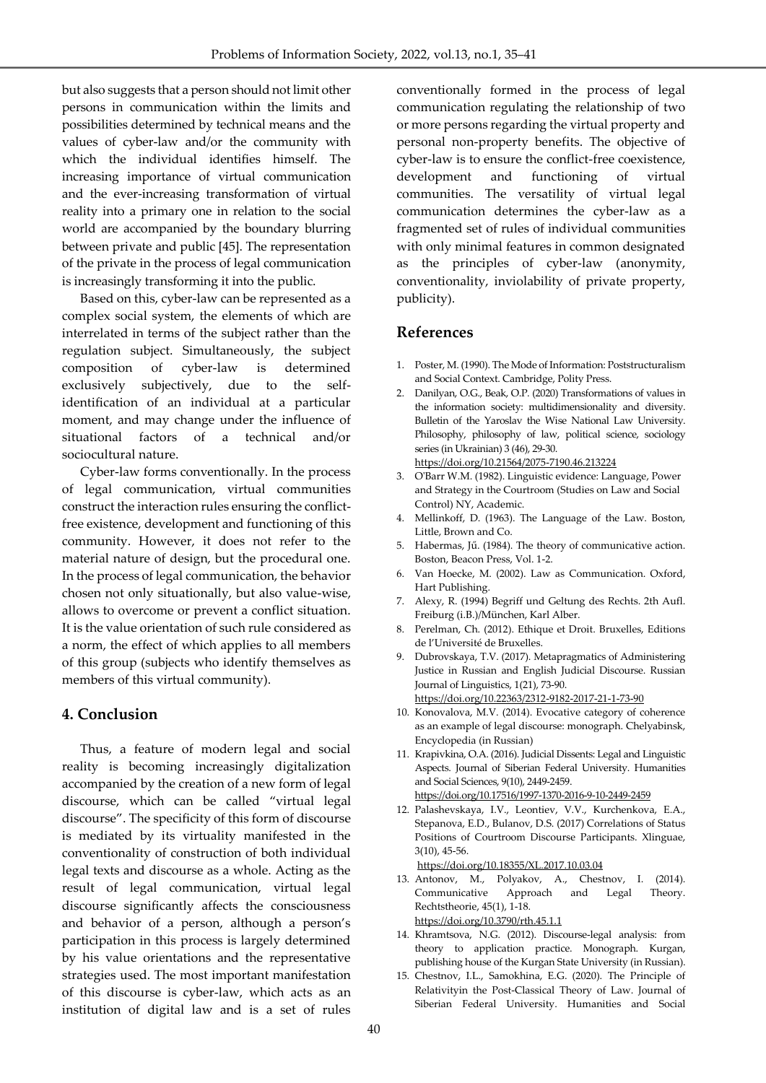but also suggests that a person should not limit other persons in communication within the limits and possibilities determined by technical means and the values of cyber-law and/or the community with which the individual identifies himself. The increasing importance of virtual communication and the ever-increasing transformation of virtual reality into a primary one in relation to the social world are accompanied by the boundary blurring between private and public [45]. The representation of the private in the process of legal communication is increasingly transforming it into the public.

Based on this, cyber-law can be represented as a complex social system, the elements of which are interrelated in terms of the subject rather than the regulation subject. Simultaneously, the subject composition of cyber-law is determined exclusively subjectively, due to the selfidentification of an individual at a particular moment, and may change under the influence of situational factors of a technical and/or sociocultural nature.

Cyber-law forms conventionally. In the process of legal communication, virtual communities construct the interaction rules ensuring the conflictfree existence, development and functioning of this community. However, it does not refer to the material nature of design, but the procedural one. In the process of legal communication, the behavior chosen not only situationally, but also value-wise, allows to overcome or prevent a conflict situation. It is the value orientation of such rule considered as a norm, the effect of which applies to all members of this group (subjects who identify themselves as members of this virtual community).

### **4. Conclusion**

Thus, a feature of modern legal and social reality is becoming increasingly digitalization accompanied by the creation of a new form of legal discourse, which can be called "virtual legal discourse". The specificity of this form of discourse is mediated by its virtuality manifested in the conventionality of construction of both individual legal texts and discourse as a whole. Acting as the result of legal communication, virtual legal discourse significantly affects the consciousness and behavior of a person, although a person's participation in this process is largely determined by his value orientations and the representative strategies used. The most important manifestation of this discourse is cyber-law, which acts as an institution of digital law and is a set of rules

conventionally formed in the process of legal communication regulating the relationship of two or more persons regarding the virtual property and personal non-property benefits. The objective of cyber-law is to ensure the conflict-free coexistence, development and functioning of virtual communities. The versatility of virtual legal communication determines the cyber-law as a fragmented set of rules of individual communities with only minimal features in common designated as the principles of cyber-law (anonymity, conventionality, inviolability of private property, publicity).

## **References**

- 1. Poster, M. (1990). The Mode of Information: Poststructuralism and Social Context. Cambridge, Polity Press.
- 2. Danilyan, O.G., Beak, O.P. (2020) Transformations of values in the information society: multidimensionality and diversity. Bulletin of the Yaroslav the Wise National Law University. Philosophy, philosophy of law, political science, sociology series (in Ukrainian) 3 (46), 29-30. [https://doi.org/1](https://doi.org/10.5815/ijisa.2017.12.08/)0.21564/2075-7190.46.213224
- 3. O'Barr W.M. (1982). Linguistic evidence: Language, Power and Strategy in the Courtroom (Studies on Law and Social Control) NY, Academic.
- 4. Mellinkoff, D. (1963). The Language of the Law. Boston, Little, Brown and Co.
- 5. Habermas, Jű. (1984). The theory of communicative action. Boston, Beacon Press, Vol. 1-2.
- 6. Van Hoecke, M. (2002). Law as Communication. Oxford, Hart Publishing.
- 7. Alexy, R. (1994) Begriff und Geltung des Rechts. 2th Aufl. Freiburg (i.B.)/München, Karl Alber.
- 8. Perelman, Ch. (2012). Ethique et Droit. Bruxelles, Editions de l'Université de Bruxelles.
- 9. Dubrovskaya, T.V. (2017). Metapragmatics of Administering Justice in Russian and English Judicial Discourse. Russian Journal of Linguistics, 1(21), 73-90.

<https://doi.org/10.22363/2312-9182-2017-21-1-73-90>

- 10. Konovalova, M.V. (2014). Evocative category of coherence as an example of legal discourse: monograph. Chelyabinsk, Encyclopedia (in Russian)
- 11. Krapivkina, O.A. (2016). Judicial Dissents: Legal and Linguistic Aspects. Journal of Siberian Federal University. Humanities and Social Sciences, 9(10), 2449-2459. <https://doi.org/10.17516/1997-1370-2016-9-10-2449-2459>
- 12. Palashevskaya, I.V., Leontiev, V.V., Kurchenkova, E.A., Stepanova, E.D., Bulanov, D.S. (2017) Correlations of Status Positions of Courtroom Discourse Participants. Xlinguae, 3(10), 45-56.

<https://doi.org/10.18355/XL.2017.10.03.04>

- 13. Antonov, M., Polyakov, A., Chestnov, I. (2014). Communicative Approach and Legal Theory. Rechtstheorie, 45(1), 1-18. <https://doi.org/10.3790/rth.45.1.1>
- 14. Khramtsova, N.G. (2012). Discourse-legal analysis: from theory to application practice. Monograph. Kurgan, publishing house of the Kurgan State University (in Russian).
- 15. Chestnov, I.L., Samokhina, E.G. (2020). The Principle of Relativityin the Post-Classical Theory of Law. Journal of Siberian Federal University. Humanities and Social